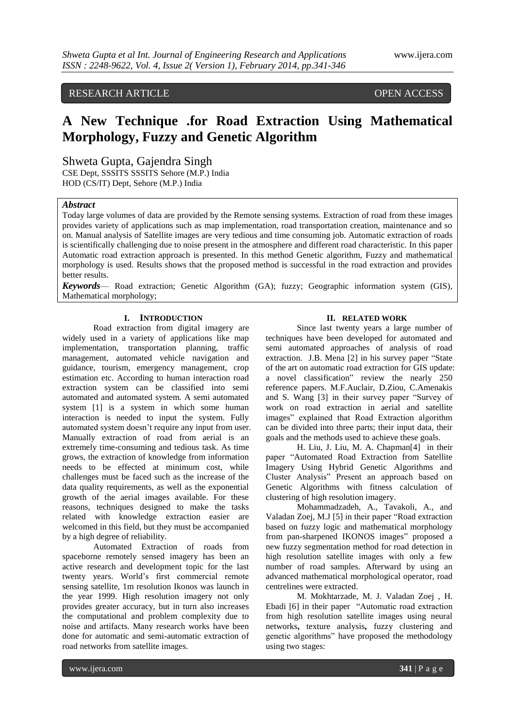## RESEARCH ARTICLE OPEN ACCESS

# **A New Technique .for Road Extraction Using Mathematical Morphology, Fuzzy and Genetic Algorithm**

Shweta Gupta, Gajendra Singh CSE Dept, SSSITS SSSITS Sehore (M.P.) India HOD (CS/IT) Dept, Sehore (M.P.) India

## *Abstract*

Today large volumes of data are provided by the Remote sensing systems. Extraction of road from these images provides variety of applications such as map implementation, road transportation creation, maintenance and so on. Manual analysis of Satellite images are very tedious and time consuming job. Automatic extraction of roads is scientifically challenging due to noise present in the atmosphere and different road characteristic. In this paper Automatic road extraction approach is presented. In this method Genetic algorithm, Fuzzy and mathematical morphology is used. Results shows that the proposed method is successful in the road extraction and provides better results.

*Keywords*— Road extraction; Genetic Algorithm (GA); fuzzy; Geographic information system (GIS), Mathematical morphology;

## **I. INTRODUCTION**

Road extraction from digital imagery are widely used in a variety of applications like map implementation, transportation planning, traffic management, automated vehicle navigation and guidance, tourism, emergency management, crop estimation etc. According to human interaction road extraction system can be classified into semi automated and automated system. A semi automated system [1] is a system in which some human interaction is needed to input the system. Fully automated system doesn't require any input from user. Manually extraction of road from aerial is an extremely time-consuming and tedious task. As time grows, the extraction of knowledge from information needs to be effected at minimum cost, while challenges must be faced such as the increase of the data quality requirements, as well as the exponential growth of the aerial images available. For these reasons, techniques designed to make the tasks related with knowledge extraction easier are welcomed in this field, but they must be accompanied by a high degree of reliability.

Automated Extraction of roads from spaceborne remotely sensed imagery has been an active research and development topic for the last twenty years. World's first commercial remote sensing satellite, 1m resolution Ikonos was launch in the year 1999. High resolution imagery not only provides greater accuracy, but in turn also increases the computational and problem complexity due to noise and artifacts. Many research works have been done for automatic and semi-automatic extraction of road networks from satellite images.

#### **II. RELATED WORK**

Since last twenty years a large number of techniques have been developed for automated and semi automated approaches of analysis of road extraction. J.B. Mena [2] in his survey paper "State" of the art on automatic road extraction for GIS update: a novel classification" review the nearly 250 reference papers. M.F.Auclair, D.Ziou, C.Amenakis and S. Wang [3] in their survey paper "Survey of work on road extraction in aerial and satellite images" explained that Road Extraction algorithm can be divided into three parts; their input data, their goals and the methods used to achieve these goals.

H. Liu, J. Liu, M. A. Chapman[4] in their paper "Automated Road Extraction from Satellite Imagery Using Hybrid Genetic Algorithms and Cluster Analysis" Present an approach based on Genetic Algorithms with fitness calculation of clustering of high resolution imagery.

Mohammadzadeh, A., Tavakoli, A., and Valadan Zoej, M.J [5] in their paper "Road extraction" based on fuzzy logic and mathematical morphology from pan-sharpened IKONOS images" proposed a new fuzzy segmentation method for road detection in high resolution satellite images with only a few number of road samples. Afterward by using an advanced mathematical morphological operator, road centrelines were extracted.

M. Mokhtarzade, M. J. Valadan Zoej , H. Ebadi [6] in their paper "Automatic road extraction" from high resolution satellite images using neural networks**,** texture analysis**,** fuzzy clustering and genetic algorithms" have proposed the methodology using two stages: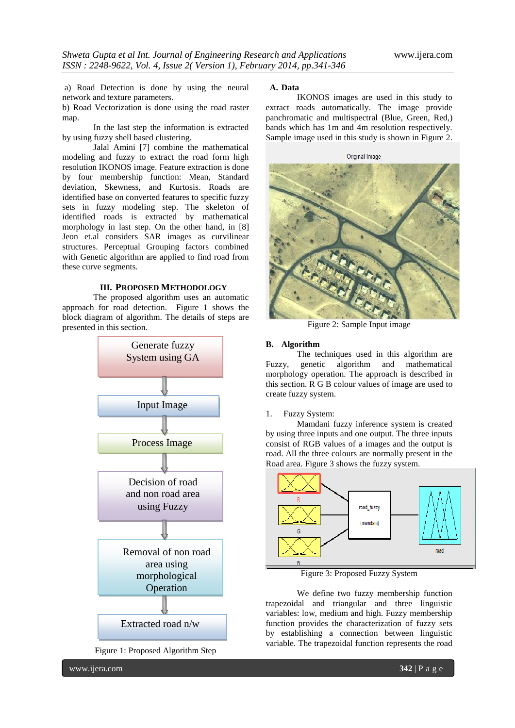a) Road Detection is done by using the neural network and texture parameters.

b) Road Vectorization is done using the road raster map.

In the last step the information is extracted by using fuzzy shell based clustering.

Jalal Amini [7] combine the mathematical modeling and fuzzy to extract the road form high resolution IKONOS image. Feature extraction is done by four membership function: Mean, Standard deviation, Skewness, and Kurtosis. Roads are identified base on converted features to specific fuzzy sets in fuzzy modeling step. The skeleton of identified roads is extracted by mathematical morphology in last step. On the other hand, in [8] Jeon et.al considers SAR images as curvilinear structures. Perceptual Grouping factors combined with Genetic algorithm are applied to find road from these curve segments.

## **III. PROPOSED METHODOLOGY**

The proposed algorithm uses an automatic approach for road detection. Figure 1 shows the block diagram of algorithm. The details of steps are presented in this section.



Figure 1: Proposed Algorithm Step

**A. Data**

IKONOS images are used in this study to extract roads automatically. The image provide panchromatic and multispectral (Blue, Green, Red,) bands which has 1m and 4m resolution respectively. Sample image used in this study is shown in Figure 2.





Figure 2: Sample Input image

## **B. Algorithm**

The techniques used in this algorithm are Fuzzy, genetic algorithm and mathematical morphology operation. The approach is described in this section. R G B colour values of image are used to create fuzzy system.

#### 1. Fuzzy System:

Mamdani fuzzy inference system is created by using three inputs and one output. The three inputs consist of RGB values of a images and the output is road. All the three colours are normally present in the Road area. Figure 3 shows the fuzzy system.



Figure 3: Proposed Fuzzy System

We define two fuzzy membership function trapezoidal and triangular and three linguistic variables: low, medium and high. Fuzzy membership function provides the characterization of fuzzy sets by establishing a connection between linguistic variable. The trapezoidal function represents the road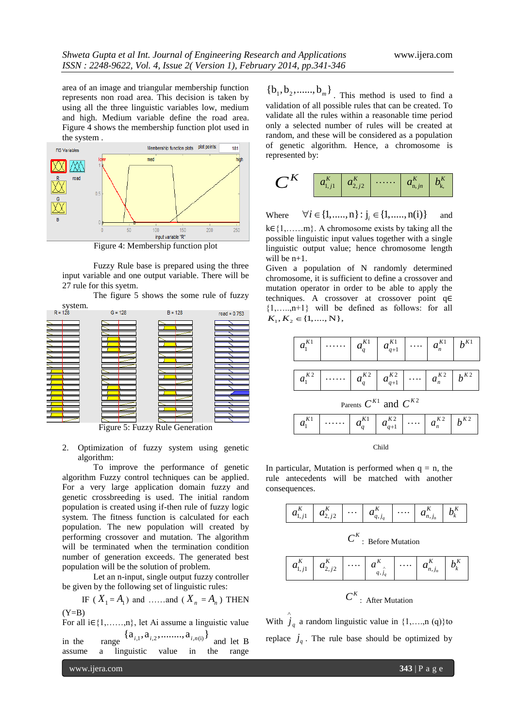area of an image and triangular membership function represents non road area. This decision is taken by using all the three linguistic variables low, medium and high. Medium variable define the road area. Figure 4 shows the membership function plot used in the system .



Figure 4: Membership function plot

Fuzzy Rule base is prepared using the three input variable and one output variable. There will be 27 rule for this syetm.

The figure 5 shows the some rule of fuzzy



Figure 5: Fuzzy Rule Generation

2. Optimization of fuzzy system using genetic algorithm:

To improve the performance of genetic algorithm Fuzzy control techniques can be applied. For a very large application domain fuzzy and genetic crossbreeding is used. The initial random population is created using if-then rule of fuzzy logic system. The fitness function is calculated for each population. The new population will created by performing crossover and mutation. The algorithm will be terminated when the termination condition number of generation exceeds. The generated best population will be the solution of problem.

Let an n-input, single output fuzzy controller be given by the following set of linguistic rules:

IF ( $X_1 = A_1$ ) and ......and ( $X_n = A_n$ ) THEN  $(Y=B)$ 

For all  $i \in \{1, \ldots, n\}$ , let Ai assume a linguistic value in the range  $\{a_{i,1}, a_{i,2}, \dots, a_{i,n(i)}\}$  and let B assume a linguistic value in the range

 $\{b_1, b_2, \ldots, b_m\}$ . This method is used to find a validation of all possible rules that can be created. To validate all the rules within a reasonable time period only a selected number of rules will be created at random, and these will be considered as a population of genetic algorithm. Hence, a chromosome is represented by:



Where  $\forall i \in \{1, \ldots, n\} : j \in \{1, \ldots, n(i)\}\$ and

k∈{1,……m}. A chromosome exists by taking all the possible linguistic input values together with a single linguistic output value; hence chromosome length will be n+1.

Given a population of N randomly determined chromosome, it is sufficient to define a crossover and mutation operator in order to be able to apply the techniques. A crossover at crossover point q∈  $\{1, \ldots, n+1\}$  will be defined as follows: for all  $K_1, K_2 \in \{1, \ldots, N\},\$ 



In particular, Mutation is performed when  $q = n$ , the rule antecedents will be matched with another consequences.



*<sup>K</sup> C* : After Mutation

With  $\hat{j}_q$ a random linguistic value in  $\{1, \ldots, n(q)\}$ to replace  $j_q$ . The rule base should be optimized by

www.ijera.com **343** | P a g e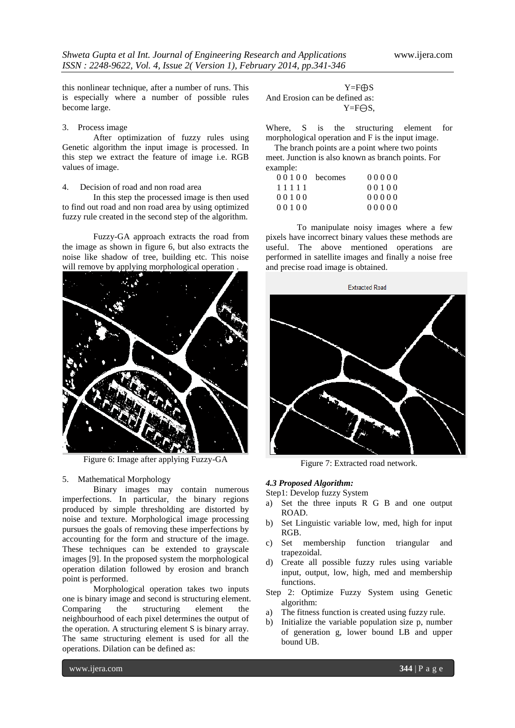this nonlinear technique, after a number of runs. This is especially where a number of possible rules become large.

## 3. Process image

After optimization of fuzzy rules using Genetic algorithm the input image is processed. In this step we extract the feature of image i.e. RGB values of image.

#### 4. Decision of road and non road area

In this step the processed image is then used to find out road and non road area by using optimized fuzzy rule created in the second step of the algorithm.

Fuzzy-GA approach extracts the road from the image as shown in figure 6, but also extracts the noise like shadow of tree, building etc. This noise will remove by applying morphological operation



Figure 6: Image after applying Fuzzy-GA

## 5. Mathematical Morphology

Binary images may contain numerous imperfections. In particular, the binary regions produced by simple thresholding are distorted by noise and texture. Morphological image processing pursues the goals of removing these imperfections by accounting for the form and structure of the image. These techniques can be extended to grayscale images [9]. In the proposed system the morphological operation dilation followed by erosion and branch point is performed.

Morphological operation takes two inputs one is binary image and second is structuring element. Comparing the structuring element the neighbourhood of each pixel determines the output of the operation. A structuring element S is binary array. The same structuring element is used for all the operations. Dilation can be defined as:

Y=F⊕S And Erosion can be defined as: Y=F⊖S,

Where, S is the structuring element for morphological operation and F is the input image.

 The branch points are a point where two points meet. Junction is also known as branch points. For example:

| 00100 | becomes | 00000 |
|-------|---------|-------|
| 11111 |         | 00100 |
| 00100 |         | 00000 |
| 00100 |         | 00000 |

To manipulate noisy images where a few pixels have incorrect binary values these methods are useful. The above mentioned operations are performed in satellite images and finally a noise free and precise road image is obtained.



Figure 7: Extracted road network.

#### *4.3 Proposed Algorithm:*

Step1: Develop fuzzy System

- a) Set the three inputs R G B and one output ROAD.
- b) Set Linguistic variable low, med, high for input RGB.
- c) Set membership function triangular and trapezoidal.
- d) Create all possible fuzzy rules using variable input, output, low, high, med and membership functions.
- Step 2: Optimize Fuzzy System using Genetic algorithm:
- a) The fitness function is created using fuzzy rule.
- b) Initialize the variable population size p, number of generation g, lower bound LB and upper bound UB.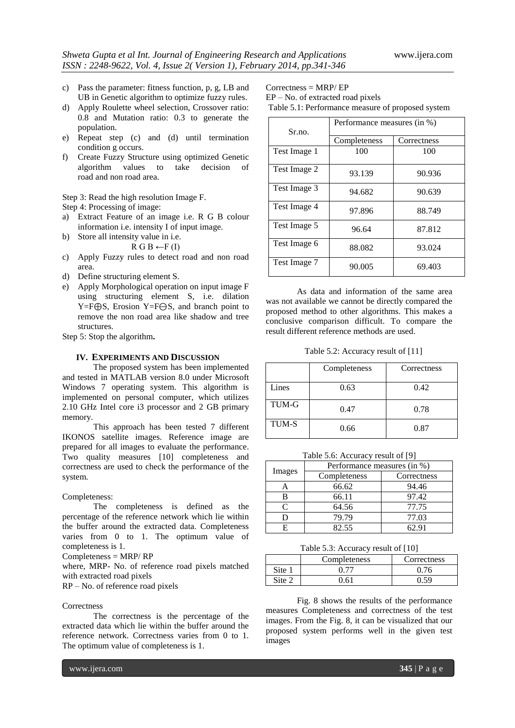- c) Pass the parameter: fitness function, p, g, LB and UB in Genetic algorithm to optimize fuzzy rules.
- d) Apply Roulette wheel selection, Crossover ratio: 0.8 and Mutation ratio: 0.3 to generate the population.
- e) Repeat step (c) and (d) until termination condition g occurs.
- f) Create Fuzzy Structure using optimized Genetic algorithm values to take decision of road and non road area.

Step 3: Read the high resolution Image F.

- Step 4: Processing of image:
- a) Extract Feature of an image i.e. R G B colour information i.e. intensity I of input image.
- b) Store all intensity value in i.e.

$$
R G B \leftarrow F (I)
$$

- c) Apply Fuzzy rules to detect road and non road area.
- d) Define structuring element S.
- e) Apply Morphological operation on input image F using structuring element S, i.e. dilation Y=F⊕S, Erosion Y=F⊖S, and branch point to remove the non road area like shadow and tree structures.

Step 5: Stop the algorithm**.**

#### **IV. EXPERIMENTS AND DISCUSSION**

The proposed system has been implemented and tested in MATLAB version 8.0 under Microsoft Windows 7 operating system. This algorithm is implemented on personal computer, which utilizes 2.10 GHz Intel core i3 processor and 2 GB primary memory.

This approach has been tested 7 different IKONOS satellite images. Reference image are prepared for all images to evaluate the performance. Two quality measures [10] completeness and correctness are used to check the performance of the system.

Completeness:

The completeness is defined as the percentage of the reference network which lie within the buffer around the extracted data. Completeness varies from 0 to 1. The optimum value of completeness is 1.

Completeness = MRP/ RP

where, MRP- No. of reference road pixels matched with extracted road pixels

RP – No. of reference road pixels

#### **Correctness**

The correctness is the percentage of the extracted data which lie within the buffer around the reference network. Correctness varies from 0 to 1. The optimum value of completeness is 1.

Correctness = MRP/ EP EP – No. of extracted road pixels

Table 5.1: Performance measure of proposed system

| $S_{r,no.}$  | Performance measures (in %) |             |
|--------------|-----------------------------|-------------|
|              | Completeness                | Correctness |
| Test Image 1 | 100                         | 100         |
| Test Image 2 | 93.139                      | 90.936      |
| Test Image 3 | 94.682                      | 90.639      |
| Test Image 4 | 97.896                      | 88.749      |
| Test Image 5 | 96.64                       | 87.812      |
| Test Image 6 | 88.082                      | 93.024      |
| Test Image 7 | 90.005                      | 69.403      |

As data and information of the same area was not available we cannot be directly compared the proposed method to other algorithms. This makes a conclusive comparison difficult. To compare the result different reference methods are used.

Table 5.2: Accuracy result of [11]

|       | Completeness | Correctness |
|-------|--------------|-------------|
| Lines | 0.63         | 0.42        |
| TUM-G | 0.47         | 0.78        |
| TUM-S | 0.66         | 0.87        |

Table 5.6: Accuracy result of [9]

| Images | Performance measures (in %) |             |  |
|--------|-----------------------------|-------------|--|
|        | Completeness                | Correctness |  |
|        | 66.62                       | 94.46       |  |
| в      | 66.11                       | 97.42       |  |
| ┌      | 64.56                       | 77.75       |  |
|        | 79.79                       | 77.03       |  |
| F      | 82.55                       | 62.91       |  |

Table 5.3: Accuracy result of [10]

|        | Completeness | Correctness |
|--------|--------------|-------------|
| Site   |              |             |
| Site 2 | -61          |             |

Fig. 8 shows the results of the performance measures Completeness and correctness of the test images. From the Fig. 8, it can be visualized that our proposed system performs well in the given test images